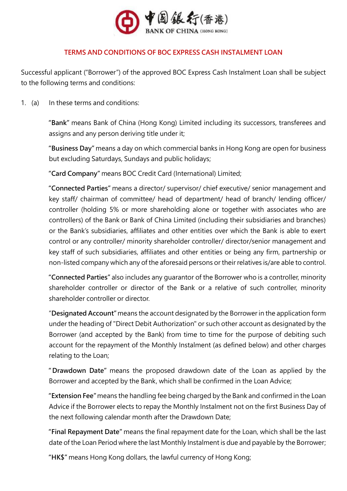

## **TERMS AND CONDITIONS OF BOC EXPRESS CASH INSTALMENT LOAN**

Successful applicant ("Borrower") of the approved BOC Express Cash Instalment Loan shall be subject to the following terms and conditions:

## 1. (a) In these terms and conditions:

**"Bank"** means Bank of China (Hong Kong) Limited including its successors, transferees and assigns and any person deriving title under it;

**"Business Day"** means a day on which commercial banks in Hong Kong are open for business but excluding Saturdays, Sundays and public holidays;

**"Card Company"** means BOC Credit Card (International) Limited;

**"Connected Parties"** means a director/ supervisor/ chief executive/ senior management and key staff/ chairman of committee/ head of department/ head of branch/ lending officer/ controller (holding 5% or more shareholding alone or together with associates who are controllers) of the Bank or Bank of China Limited (including their subsidiaries and branches) or the Bank's subsidiaries, affiliates and other entities over which the Bank is able to exert control or any controller/ minority shareholder controller/ director/senior management and key staff of such subsidiaries, affiliates and other entities or being any firm, partnership or non-listed company which any of the aforesaid persons or their relatives is/are able to control.

**"Connected Parties"** also includes any guarantor of the Borrower who is a controller, minority shareholder controller or director of the Bank or a relative of such controller, minority shareholder controller or director.

"**Designated Account"** means the account designated by the Borrower in the application form under the heading of "Direct Debit Authorization" or such other account as designated by the Borrower (and accepted by the Bank) from time to time for the purpose of debiting such account for the repayment of the Monthly Instalment (as defined below) and other charges relating to the Loan;

**"Drawdown Date"** means the proposed drawdown date of the Loan as applied by the Borrower and accepted by the Bank, which shall be confirmed in the Loan Advice;

**"Extension Fee"** means the handling fee being charged by the Bank and confirmed in the Loan Advice if the Borrower elects to repay the Monthly Instalment not on the first Business Day of the next following calendar month after the Drawdown Date;

**"Final Repayment Date"** means the final repayment date for the Loan, which shall be the last date of the Loan Period where the last Monthly Instalment is due and payable by the Borrower;

**"HK\$"** means Hong Kong dollars, the lawful currency of Hong Kong;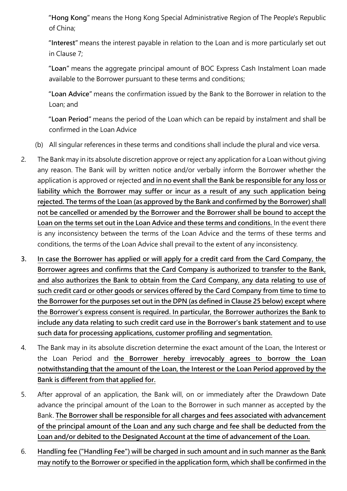**"Hong Kong"** means the Hong Kong Special Administrative Region of The People's Republic of China;

**"Interest"** means the interest payable in relation to the Loan and is more particularly set out in Clause 7;

**"Loan"** means the aggregate principal amount of BOC Express Cash Instalment Loan made available to the Borrower pursuant to these terms and conditions;

**"Loan Advice"** means the confirmation issued by the Bank to the Borrower in relation to the Loan; and

**"Loan Period"** means the period of the Loan which can be repaid by instalment and shall be confirmed in the Loan Advice

- (b) All singular references in these terms and conditions shall include the plural and vice versa.
- 2. The Bank may in its absolute discretion approve or reject any application for a Loan without giving any reason. The Bank will by written notice and/or verbally inform the Borrower whether the application is approved or rejected **and in no event shall the Bank be responsible for any loss or liability which the Borrower may suffer or incur as a result of any such application being rejected. The terms of the Loan (as approved by the Bank and confirmed by the Borrower) shall not be cancelled or amended by the Borrower and the Borrower shall be bound to accept the Loan on the terms set out in the Loan Advice and these terms and conditions.** In the event there is any inconsistency between the terms of the Loan Advice and the terms of these terms and conditions, the terms of the Loan Advice shall prevail to the extent of any inconsistency.
- **3. In case the Borrower has applied or will apply for a credit card from the Card Company, the Borrower agrees and confirms that the Card Company is authorized to transfer to the Bank, and also authorizes the Bank to obtain from the Card Company, any data relating to use of such credit card or other goods or services offered by the Card Company from time to time to the Borrower for the purposes set out in the DPN (as defined in Clause 25 below) except where the Borrower's express consent is required. In particular, the Borrower authorizes the Bank to include any data relating to such credit card use in the Borrower's bank statement and to use such data for processing applications, customer profiling and segmentation.**
- 4. The Bank may in its absolute discretion determine the exact amount of the Loan, the Interest or the Loan Period and **the Borrower hereby irrevocably agrees to borrow the Loan notwithstanding that the amount of the Loan, the Interest or the Loan Period approved by the Bank is different from that applied for.**
- 5. After approval of an application, the Bank will, on or immediately after the Drawdown Date advance the principal amount of the Loan to the Borrower in such manner as accepted by the Bank. **The Borrower shall be responsible for all charges and fees associated with advancement of the principal amount of the Loan and any such charge and fee shall be deducted from the Loan and/or debited to the Designated Account at the time of advancement of the Loan.**
- 6. **Handling fee ("Handling Fee") will be charged in such amount and in such manner as the Bank may notify to the Borrower or specified in the application form, which shall be confirmed in the**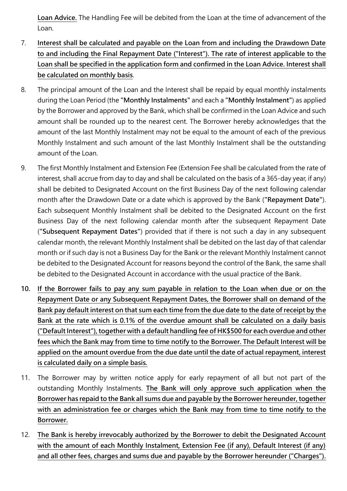**Loan Advice.** The Handling Fee will be debited from the Loan at the time of advancement of the Loan.

- 7. **Interest shall be calculated and payable on the Loan from and including the Drawdown Date to and including the Final Repayment Date ("Interest"). The rate of interest applicable to the Loan shall be specified in the application form and confirmed in the Loan Advice. Interest shall be calculated on monthly basis**.
- 8. The principal amount of the Loan and the Interest shall be repaid by equal monthly instalments during the Loan Period (the **"Monthly Instalments"** and each a **"Monthly Instalment"**) as applied by the Borrower and approved by the Bank, which shall be confirmed in the Loan Advice and such amount shall be rounded up to the nearest cent. The Borrower hereby acknowledges that the amount of the last Monthly Instalment may not be equal to the amount of each of the previous Monthly Instalment and such amount of the last Monthly Instalment shall be the outstanding amount of the Loan.
- 9. The first Monthly Instalment and Extension Fee (Extension Fee shall be calculated from the rate of interest, shall accrue from day to day and shall be calculated on the basis of a 365-day year, if any) shall be debited to Designated Account on the first Business Day of the next following calendar month after the Drawdown Date or a date which is approved by the Bank (**"Repayment Date"**). Each subsequent Monthly Instalment shall be debited to the Designated Account on the first Business Day of the next following calendar month after the subsequent Repayment Date (**"Subsequent Repayment Dates"**) provided that if there is not such a day in any subsequent calendar month, the relevant Monthly Instalment shall be debited on the last day of that calendar month or if such day is not a Business Day for the Bank or the relevant Monthly Instalment cannot be debited to the Designated Account for reasons beyond the control of the Bank, the same shall be debited to the Designated Account in accordance with the usual practice of the Bank.
- **10. If the Borrower fails to pay any sum payable in relation to the Loan when due or on the Repayment Date or any Subsequent Repayment Dates, the Borrower shall on demand of the Bank pay default interest on that sum each time from the due date to the date of receipt by the Bank at the rate which is 0.1% of the overdue amount shall be calculated on a daily basis ("Default Interest"), together with a default handling fee of HK\$500 for each overdue and other fees which the Bank may from time to time notify to the Borrower. The Default Interest will be applied on the amount overdue from the due date until the date of actual repayment, interest is calculated daily on a simple basis.**
- 11. The Borrower may by written notice apply for early repayment of all but not part of the outstanding Monthly Instalments. **The Bank will only approve such application when the Borrower has repaid to the Bank all sums due and payable by the Borrower hereunder, together with an administration fee or charges which the Bank may from time to time notify to the Borrower.**
- 12. **The Bank is hereby irrevocably authorized by the Borrower to debit the Designated Account with the amount of each Monthly Instalment, Extension Fee (if any), Default Interest (if any) and all other fees, charges and sums due and payable by the Borrower hereunder ("Charges").**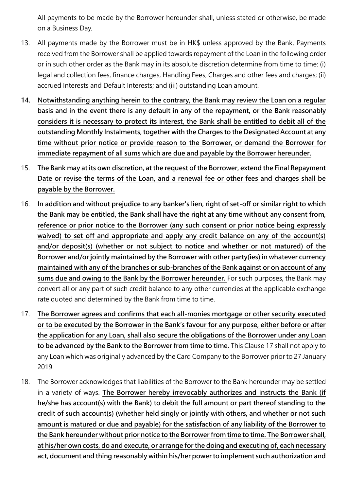All payments to be made by the Borrower hereunder shall, unless stated or otherwise, be made on a Business Day.

- 13. All payments made by the Borrower must be in HK\$ unless approved by the Bank. Payments received from the Borrower shall be applied towards repayment of the Loan in the following order or in such other order as the Bank may in its absolute discretion determine from time to time: (i) legal and collection fees, finance charges, Handling Fees, Charges and other fees and charges; (ii) accrued Interests and Default Interests; and (iii) outstanding Loan amount.
- **14. Notwithstanding anything herein to the contrary, the Bank may review the Loan on a regular basis and in the event there is any default in any of the repayment, or the Bank reasonably considers it is necessary to protect its interest, the Bank shall be entitled to debit all of the outstanding Monthly Instalments, together with the Charges to the Designated Account at any time without prior notice or provide reason to the Borrower, or demand the Borrower for immediate repayment of all sums which are due and payable by the Borrower hereunder.**
- 15. **The Bank may at its own discretion, at the request of the Borrower, extend the Final Repayment Date or revise the terms of the Loan, and a renewal fee or other fees and charges shall be payable by the Borrower.**
- 16. **In addition and without prejudice to any banker's lien, right of set-off or similar right to which the Bank may be entitled, the Bank shall have the right at any time without any consent from, reference or prior notice to the Borrower (any such consent or prior notice being expressly waived) to set-off and appropriate and apply any credit balance on any of the account(s) and/or deposit(s) (whether or not subject to notice and whether or not matured) of the Borrower and/or jointly maintained by the Borrower with other party(ies) in whatever currency maintained with any of the branches or sub-branches of the Bank against or on account of any sums due and owing to the Bank by the Borrower hereunder.** For such purposes, the Bank may convert all or any part of such credit balance to any other currencies at the applicable exchange rate quoted and determined by the Bank from time to time.
- 17. **The Borrower agrees and confirms that each all-monies mortgage or other security executed or to be executed by the Borrower in the Bank's favour for any purpose, either before or after the application for any Loan, shall also secure the obligations of the Borrower under any Loan to be advanced by the Bank to the Borrower from time to time.** This Clause 17 shall not apply to any Loan which was originally advanced by the Card Company to the Borrower prior to 27 January 2019.
- 18. The Borrower acknowledges that liabilities of the Borrower to the Bank hereunder may be settled in a variety of ways. **The Borrower hereby irrevocably authorizes and instructs the Bank (if he/she has account(s) with the Bank) to debit the full amount or part thereof standing to the credit of such account(s) (whether held singly or jointly with others, and whether or not such amount is matured or due and payable) for the satisfaction of any liability of the Borrower to the Bank hereunder without prior notice to the Borrower from time to time. The Borrower shall, at his/her own costs, do and execute, or arrange for the doing and executing of, each necessary act, document and thing reasonably within his/her power to implement such authorization and**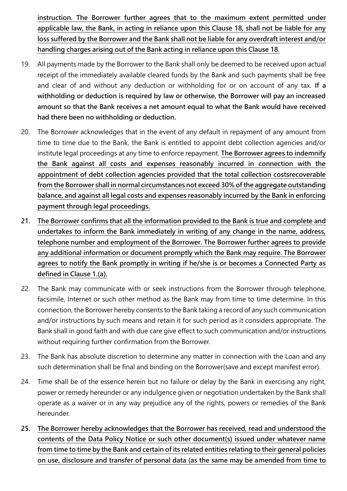**instruction. The Borrower further agrees that to the maximum extent permitted under applicable law, the Bank, in acting in reliance upon this Clause 18, shall not be liable for any loss suffered by the Borrower and the Bank shall not be liable for any overdraft interest and/or handling charges arising out of the Bank acting in reliance upon this Clause 18.**

- 19. All payments made by the Borrower to the Bank shall only be deemed to be received upon actual receipt of the immediately available cleared funds by the Bank and such payments shall be free and clear of and without any deduction or withholding for or on account of any tax. **If a withholding or deduction is required by law or otherwise, the Borrower will pay an increased amount so that the Bank receives a net amount equal to what the Bank would have received had there been no withholding or deduction.**
- 20. The Borrower acknowledges that in the event of any default in repayment of any amount from time to time due to the Bank, the Bank is entitled to appoint debt collection agencies and/or institute legal proceedings at any time to enforce repayment. **The Borrower agrees to indemnify the Bank against all costs and expenses reasonably incurred in connection with the appointment of debt collection agencies provided that the total collection costsrecoverable from the Borrower shall in normal circumstances not exceed 30% of the aggregate outstanding balance, and against all legal costs and expenses reasonably incurred by the Bank in enforcing payment through legal proceedings.**
- **21. The Borrower confirms that all the information provided to the Bank is true and complete and undertakes to inform the Bank immediately in writing of any change in the name, address, telephone number and employment of the Borrower. The Borrower further agrees to provide any additional information or document promptly which the Bank may require. The Borrower agrees to notify the Bank promptly in writing if he/she is or becomes a Connected Party as defined in Clause 1.(a).**
- 22. The Bank may communicate with or seek instructions from the Borrower through telephone, facsimile, Internet or such other method as the Bank may from time to time determine. In this connection, the Borrower hereby consents to the Bank taking a record of any such communication and/or instructions by such means and retain it for such period as it considers appropriate. The Bank shall in good faith and with due care give effect to such communication and/or instructions without requiring further confirmation from the Borrower.
- 23. The Bank has absolute discretion to determine any matter in connection with the Loan and any such determination shall be final and binding on the Borrower(save and except manifest error).
- 24. Time shall be of the essence herein but no failure or delay by the Bank in exercising any right, power or remedy hereunder or any indulgence given or negotiation undertaken by the Bank shall operate as a waiver or in any way prejudice any of the rights, powers or remedies of the Bank hereunder.
- **25. The Borrower hereby acknowledges that the Borrower has received, read and understood the contents of the Data Policy Notice or such other document(s) issued under whatever name from time to time by the Bank and certain of its related entities relating to their general policies on use, disclosure and transfer of personal data (as the same may be amended from time to**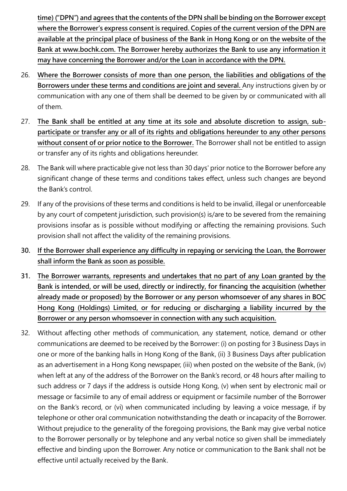**time) ("DPN") and agrees that the contents of the DPN shall be binding on the Borrower except where the Borrower's express consent is required. Copies of the current version of the DPN are available at the principal place of business of the Bank in Hong Kong or on the website of the Bank at www.bochk.com. The Borrower hereby authorizes the Bank to use any information it may have concerning the Borrower and/or the Loan in accordance with the DPN.**

- 26. **Where the Borrower consists of more than one person, the liabilities and obligations of the Borrowers under these terms and conditions are joint and several.** Any instructions given by or communication with any one of them shall be deemed to be given by or communicated with all of them.
- 27. **The Bank shall be entitled at any time at its sole and absolute discretion to assign, subparticipate or transfer any or all of its rights and obligations hereunder to any other persons without consent of or prior notice to the Borrower.** The Borrower shall not be entitled to assign or transfer any of its rights and obligations hereunder.
- 28. The Bank will where practicable give not less than 30 days' prior notice to the Borrower before any significant change of these terms and conditions takes effect, unless such changes are beyond the Bank's control.
- 29. If any of the provisions of these terms and conditions is held to be invalid, illegal or unenforceable by any court of competent jurisdiction, such provision(s) is/are to be severed from the remaining provisions insofar as is possible without modifying or affecting the remaining provisions. Such provision shall not affect the validity of the remaining provisions.
- **30. If the Borrower shall experience any difficulty in repaying or servicing the Loan, the Borrower shall inform the Bank as soon as possible.**
- **31. The Borrower warrants, represents and undertakes that no part of any Loan granted by the Bank is intended, or will be used, directly or indirectly, for financing the acquisition (whether already made or proposed) by the Borrower or any person whomsoever of any shares in BOC Hong Kong (Holdings) Limited, or for reducing or discharging a liability incurred by the Borrower or any person whomsoever in connection with any such acquisition.**
- 32. Without affecting other methods of communication, any statement, notice, demand or other communications are deemed to be received by the Borrower: (i) on posting for 3 Business Days in one or more of the banking halls in Hong Kong of the Bank, (ii) 3 Business Days after publication as an advertisement in a Hong Kong newspaper, (iii) when posted on the website of the Bank, (iv) when left at any of the address of the Borrower on the Bank's record, or 48 hours after mailing to such address or 7 days if the address is outside Hong Kong, (v) when sent by electronic mail or message or facsimile to any of email address or equipment or facsimile number of the Borrower on the Bank's record, or (vi) when communicated including by leaving a voice message, if by telephone or other oral communication notwithstanding the death or incapacity of the Borrower. Without prejudice to the generality of the foregoing provisions, the Bank may give verbal notice to the Borrower personally or by telephone and any verbal notice so given shall be immediately effective and binding upon the Borrower. Any notice or communication to the Bank shall not be effective until actually received by the Bank.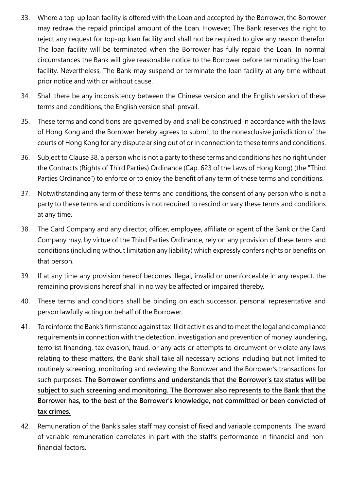- 33. Where a top-up loan facility is offered with the Loan and accepted by the Borrower, the Borrower may redraw the repaid principal amount of the Loan. However, The Bank reserves the right to reject any request for top-up loan facility and shall not be required to give any reason therefor. The loan facility will be terminated when the Borrower has fully repaid the Loan. In normal circumstances the Bank will give reasonable notice to the Borrower before terminating the loan facility. Nevertheless, The Bank may suspend or terminate the loan facility at any time without prior notice and with or without cause.
- 34. Shall there be any inconsistency between the Chinese version and the English version of these terms and conditions, the English version shall prevail.
- 35. These terms and conditions are governed by and shall be construed in accordance with the laws of Hong Kong and the Borrower hereby agrees to submit to the nonexclusive jurisdiction of the courts of Hong Kong for any dispute arising out of or in connection to these terms and conditions.
- 36. Subject to Clause 38, a person who is not a party to these terms and conditions has no right under the Contracts (Rights of Third Parties) Ordinance (Cap. 623 of the Laws of Hong Kong) (the "Third Parties Ordinance") to enforce or to enjoy the benefit of any term of these terms and conditions.
- 37. Notwithstanding any term of these terms and conditions, the consent of any person who is not a party to these terms and conditions is not required to rescind or vary these terms and conditions at any time.
- 38. The Card Company and any director, officer, employee, affiliate or agent of the Bank or the Card Company may, by virtue of the Third Parties Ordinance, rely on any provision of these terms and conditions (including without limitation any liability) which expressly confers rights or benefits on that person.
- 39. If at any time any provision hereof becomes illegal, invalid or unenforceable in any respect, the remaining provisions hereof shall in no way be affected or impaired thereby.
- 40. These terms and conditions shall be binding on each successor, personal representative and person lawfully acting on behalf of the Borrower.
- 41. To reinforce the Bank's firm stance against tax illicit activities and to meet the legal and compliance requirements in connection with the detection, investigation and prevention of money laundering, terrorist financing, tax evasion, fraud, or any acts or attempts to circumvent or violate any laws relating to these matters, the Bank shall take all necessary actions including but not limited to routinely screening, monitoring and reviewing the Borrower and the Borrower's transactions for such purposes. **The Borrower confirms and understands that the Borrower's tax status will be subject to such screening and monitoring. The Borrower also represents to the Bank that the Borrower has, to the best of the Borrower's knowledge, not committed or been convicted of tax crimes.**
- 42. Remuneration of the Bank's sales staff may consist of fixed and variable components. The award of variable remuneration correlates in part with the staff's performance in financial and nonfinancial factors.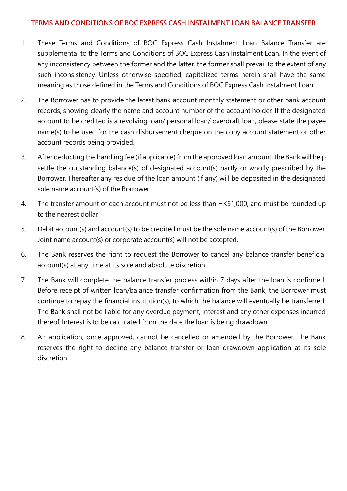## **TERMS AND CONDITIONS OF BOC EXPRESS CASH INSTALMENT LOAN BALANCE TRANSFER**

- 1. These Terms and Conditions of BOC Express Cash Instalment Loan Balance Transfer are supplemental to the Terms and Conditions of BOC Express Cash Instalment Loan. In the event of any inconsistency between the former and the latter, the former shall prevail to the extent of any such inconsistency. Unless otherwise specified, capitalized terms herein shall have the same meaning as those defined in the Terms and Conditions of BOC Express Cash Instalment Loan.
- 2. The Borrower has to provide the latest bank account monthly statement or other bank account records, showing clearly the name and account number of the account holder. If the designated account to be credited is a revolving loan/ personal loan/ overdraft loan, please state the payee name(s) to be used for the cash disbursement cheque on the copy account statement or other account records being provided.
- 3. After deducting the handling fee (if applicable) from the approved loan amount, the Bank will help settle the outstanding balance(s) of designated account(s) partly or wholly prescribed by the Borrower. Thereafter any residue of the loan amount (if any) will be deposited in the designated sole name account(s) of the Borrower.
- 4. The transfer amount of each account must not be less than HK\$1,000, and must be rounded up to the nearest dollar.
- 5. Debit account(s) and account(s) to be credited must be the sole name account(s) of the Borrower. Joint name account(s) or corporate account(s) will not be accepted.
- 6. The Bank reserves the right to request the Borrower to cancel any balance transfer beneficial account(s) at any time at its sole and absolute discretion.
- 7. The Bank will complete the balance transfer process within 7 days after the loan is confirmed. Before receipt of written loan/balance transfer confirmation from the Bank, the Borrower must continue to repay the financial institution(s), to which the balance will eventually be transferred. The Bank shall not be liable for any overdue payment, interest and any other expenses incurred thereof. Interest is to be calculated from the date the loan is being drawdown.
- 8. An application, once approved, cannot be cancelled or amended by the Borrower. The Bank reserves the right to decline any balance transfer or loan drawdown application at its sole discretion.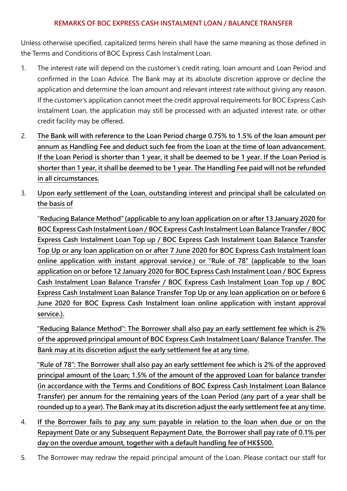## **REMARKS OF BOC EXPRESS CASH INSTALMENT LOAN / BALANCE TRANSFER**

Unless otherwise specified, capitalized terms herein shall have the same meaning as those defined in the Terms and Conditions of BOC Express Cash Instalment Loan.

- 1. The interest rate will depend on the customer's credit rating, loan amount and Loan Period and confirmed in the Loan Advice. The Bank may at its absolute discretion approve or decline the application and determine the loan amount and relevant interest rate without giving any reason. If the customer's application cannot meet the credit approval requirements for BOC Express Cash Instalment Loan, the application may still be processed with an adjusted interest rate, or other credit facility may be offered.
- 2. **The Bank will with reference to the Loan Period charge 0.75% to 1.5% of the loan amount per annum as Handling Fee and deduct such fee from the Loan at the time of loan advancement. If the Loan Period is shorter than 1 year, it shall be deemed to be 1 year. If the Loan Period is shorter than 1 year, it shall be deemed to be 1 year. The Handling Fee paid will not be refunded in all circumstances.**
- 3. **Upon early settlement of the Loan, outstanding interest and principal shall be calculated on the basis of**

"**Reducing Balance Method" (applicable to any loan application on or after 13 January 2020 for BOC Express Cash Instalment Loan / BOC Express Cash Instalment Loan Balance Transfer / BOC Express Cash Instalment Loan Top up / BOC Express Cash Instalment Loan Balance Transfer Top Up or any loan application on or after 7 June 2020 for BOC Express Cash Instalment loan online application with instant approval service.) or "Rule of 78" (applicable to the loan application on or before 12 January 2020 for BOC Express Cash Instalment Loan / BOC Express Cash Instalment Loan Balance Transfer / BOC Express Cash Instalment Loan Top up / BOC Express Cash Instalment Loan Balance Transfer Top Up or any loan application on or before 6 June 2020 for BOC Express Cash Instalment loan online application with instant approval service.).**

**"Reducing Balance Method": The Borrower shall also pay an early settlement fee which is 2% of the approved principal amount of BOC Express Cash Instalment Loan/ Balance Transfer. The Bank may at its discretion adjust the early settlement fee at any time.**

**"Rule of 78": The Borrower shall also pay an early settlement fee which is 2% of the approved principal amount of the Loan; 1.5% of the amount of the approved Loan for balance transfer (in accordance with the Terms and Conditions of BOC Express Cash Instalment Loan Balance Transfer) per annum for the remaining years of the Loan Period (any part of a year shall be rounded up to a year). The Bank may at its discretion adjust the early settlement fee at any time.**

- 4. **If the Borrower fails to pay any sum payable in relation to the loan when due or on the Repayment Date or any Subsequent Repayment Date, the Borrower shall pay rate of 0.1% per day on the overdue amount, together with a default handling fee of HK\$500.**
- 5. The Borrower may redraw the repaid principal amount of the Loan. Please contact our staff for